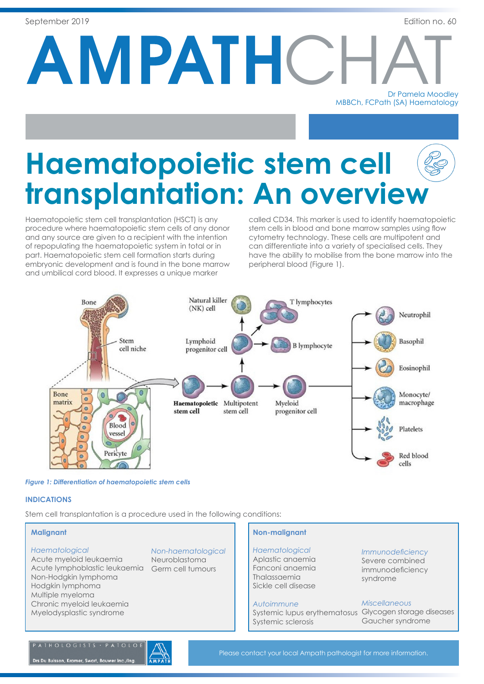AMPATHC Dr Pamela Moodley

MBBCh, FCPath (SA) Haematology

# **Haematopoietic stem cell transplantation: An overview**

Haematopoietic stem cell transplantation (HSCT) is any procedure where haematopoietic stem cells of any donor and any source are given to a recipient with the intention of repopulating the haematopoietic system in total or in part. Haematopoietic stem cell formation starts during embryonic development and is found in the bone marrow and umbilical cord blood. It expresses a unique marker

called CD34. This marker is used to identify haematopoietic stem cells in blood and bone marrow samples using flow cytometry technology. These cells are multipotent and can differentiate into a variety of specialised cells. They have the ability to mobilise from the bone marrow into the peripheral blood (Figure 1).



*Figure 1: Differentiation of haematopoietic stem cells*

## **INDICATIONS**

Stem cell transplantation is a procedure used in the following conditions:

## **Malignant**

## *Haematological*

Acute myeloid leukaemia Acute lymphoblastic leukaemia Germ cell tumours Non-Hodgkin lymphoma Hodgkin lymphoma Multiple myeloma Chronic myeloid leukaemia Myelodysplastic syndrome

## *Non-haematological*

Neuroblastoma

## **Non-malignant**

*Haematological* Aplastic anaemia Fanconi anaemia Thalassaemia Sickle cell disease

## *Autoimmune*

Systemic lupus erythematosus Glycogen storage diseases Systemic sclerosis

*Immunodeficiency*

Severe combined immunodeficiency syndrome

## *Miscellaneous*

Gaucher syndrome

## PATHOLOGISTS · PATOLOI

Drs Du Buisson, Kramer, Swart, Bouwer Inc./Ing

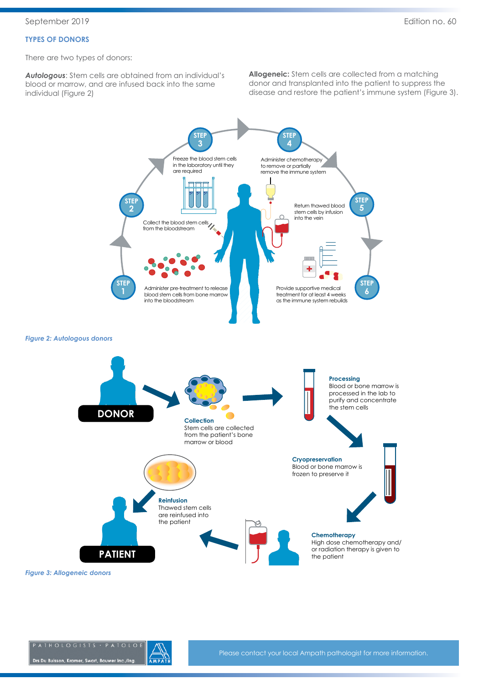## **TYPES OF DONORS**

There are two types of donors:

*Autologous*: Stem cells are obtained from an individual's blood or marrow, and are infused back into the same individual (Figure 2)

**Allogeneic:** Stem cells are collected from a matching donor and transplanted into the patient to suppress the disease and restore the patient's immune system (Figure 3).



*Figure 3: Allogeneic donors*

Drs Du Buisson, Kramer, Swart, Bouwer Inc./Ing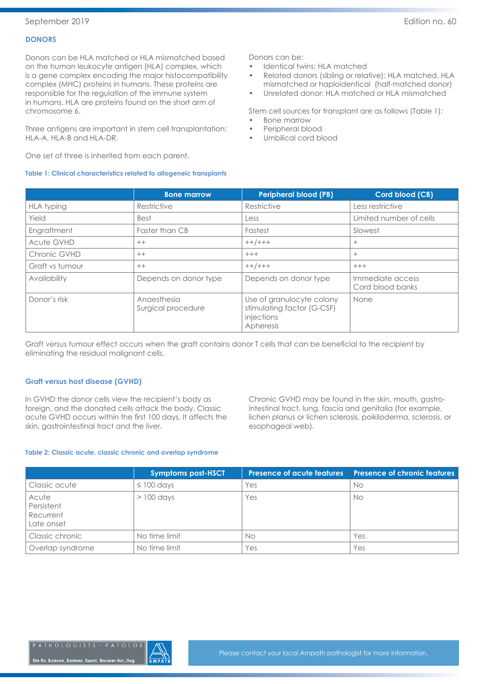## **DONORS**

Donors can be HLA matched or HLA mismatched based on the human leukocyte antigen (HLA) complex, which is a gene complex encoding the major histocompatibility complex (MHC) proteins in humans. These proteins are responsible for the regulation of the immune system in humans. HLA are proteins found on the short arm of chromosome 6.

Three antigens are important in stem cell transplantation: HLA-A, HLA-B and HLA-DR.

One set of three is inherited from each parent.

## **Table 1: Clinical characteristics related to allogeneic transplants**

Donors can be:

- Identical twins: HLA matched
- Related donors (sibling or relative): HLA matched, HLA mismatched or haploidentical (half-matched donor)
- Unrelated donor: HLA matched or HLA mismatched

Stem cell sources for transplant are as follows (Table 1):

- Bone marrow
- Peripheral blood
- Umbilical cord blood

|                   | <b>Bone marrow</b>                | <b>Peripheral blood (PB)</b>                                                       | <b>Cord blood (CB)</b>               |
|-------------------|-----------------------------------|------------------------------------------------------------------------------------|--------------------------------------|
| <b>HLA</b> typing | Restrictive                       | Restrictive                                                                        | Less restrictive                     |
| Yield             | <b>Best</b>                       | Less                                                                               | Limited number of cells              |
| Engraftment       | Faster than CB                    | Fastest                                                                            | Slowest                              |
| <b>Acute GVHD</b> | $++$                              | $++/+++$                                                                           | $^{+}$                               |
| Chronic GVHD      | $++$                              | $+++$                                                                              | $^{+}$                               |
| Graft vs tumour   | $++$                              | $++/+++$                                                                           | $+++$                                |
| Availability      | Depends on donor type             | Depends on donor type                                                              | Immediate access<br>Cord blood banks |
| Donor's risk      | Anaesthesia<br>Surgical procedure | Use of granulocyte colony<br>stimulating factor (G-CSF)<br>injections<br>Apheresis | None                                 |

Graft versus tumour effect occurs when the graft contains donor T cells that can be beneficial to the recipient by eliminating the residual malignant cells.

## **Graft versus host disease (GVHD)**

In GVHD the donor cells view the recipient's body as foreign, and the donated cells attack the body. Classic acute GVHD occurs within the first 100 days. It affects the skin, gastrointestinal tract and the liver.

Chronic GVHD may be found in the skin, mouth, gastrointestinal tract, lung, fascia and genitalia (for example, lichen planus or lichen sclerosis, poikiloderma, sclerosis, or esophageal web).

#### **Table 2: Classic acute, classic chronic and overlap syndrome**

|                                                | <b>Symptoms post-HSCT</b> | <b>Presence of acute features</b> | <b>Presence of chronic features</b> |
|------------------------------------------------|---------------------------|-----------------------------------|-------------------------------------|
| Classic acute                                  | $\leq$ 100 days           | Yes                               | No.                                 |
| Acute<br>Persistent<br>Recurrent<br>Late onset | $>100$ days               | Yes                               | No.                                 |
| Classic chronic                                | No time limit             | No                                | Yes                                 |
| Overlap syndrome                               | No time limit             | Yes                               | Yes                                 |